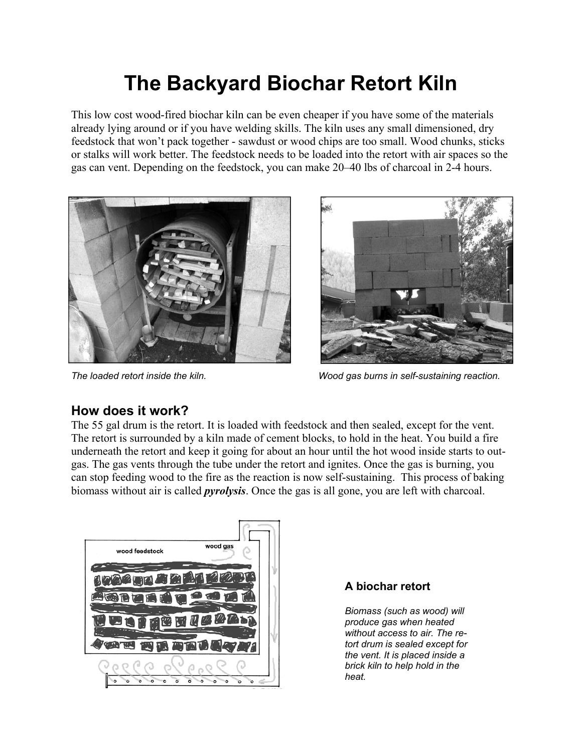# **The Backyard Biochar Retort Kiln**

This low cost wood-fired biochar kiln can be even cheaper if you have some of the materials already lying around or if you have welding skills. The kiln uses any small dimensioned, dry feedstock that won't pack together - sawdust or wood chips are too small. Wood chunks, sticks or stalks will work better. The feedstock needs to be loaded into the retort with air spaces so the gas can vent. Depending on the feedstock, you can make 20–40 lbs of charcoal in 2-4 hours.





*The loaded retort inside the kiln. Wood gas burns in self-sustaining reaction.* 

#### **How does it work?**

The 55 gal drum is the retort. It is loaded with feedstock and then sealed, except for the vent. The retort is surrounded by a kiln made of cement blocks, to hold in the heat. You build a fire underneath the retort and keep it going for about an hour until the hot wood inside starts to outgas. The gas vents through the tube under the retort and ignites. Once the gas is burning, you can stop feeding wood to the fire as the reaction is now self-sustaining. This process of baking biomass without air is called *pyrolysis*. Once the gas is all gone, you are left with charcoal.



#### **A biochar retort**

*Biomass (such as wood) will produce gas when heated without access to air. The retort drum is sealed except for the vent. It is placed inside a brick kiln to help hold in the heat.*